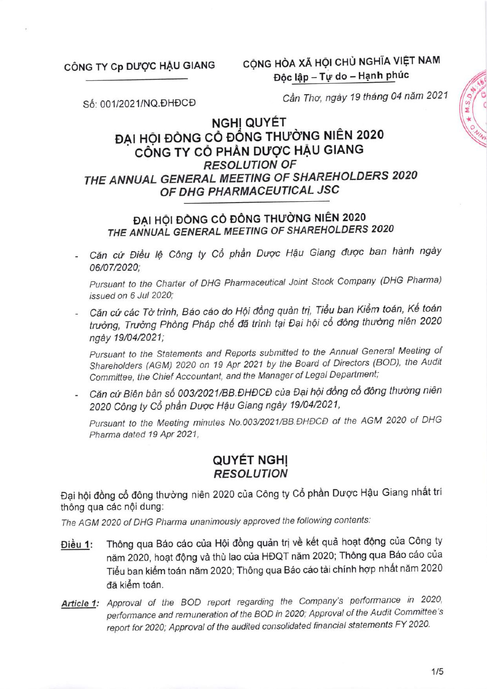#### CÔNG TY Cp DƯỢC HẦU GIANG

CỘNG HÒA XÃ HỘI CHỦ NGHĨA VIỆT NAM Độc lập - Tự do - Hạnh phúc

Số: 001/2021/NQ.DHĐCĐ

Cần Thơ, ngày 19 tháng 04 năm 2021

# NGHỊ QUYẾT ĐẠI HỘI ĐỒNG CỎ ĐỒNG THƯỜNG NIÊN 2020 CÔNG TY CỎ PHẢN DƯỢC HẬU GIANG **RESOLUTION OF** THE ANNUAL GENERAL MEETING OF SHAREHOLDERS 2020 OF DHG PHARMACEUTICAL JSC

# ĐẠI HỘI ĐỒNG CỎ ĐÔNG THƯỜNG NIÊN 2020 THE ANNUAL GENERAL MEETING OF SHAREHOLDERS 2020

Căn cứ Điều lệ Công ty Cổ phần Dược Hậu Giang được ban hành ngày 06/07/2020:

Pursuant to the Charter of DHG Pharmaceutical Joint Stock Company (DHG Pharma) issued on 6 Jul 2020:

- Căn cứ các Tờ trình, Báo cáo do Hội đồng quản trị, Tiểu ban Kiểm toán, Kế toán trưởng, Trưởng Phòng Pháp chế đã trình tại Đại hội cổ đông thường niên 2020 ngày 19/04/2021:

Pursuant to the Statements and Reports submitted to the Annual General Meeting of Shareholders (AGM) 2020 on 19 Apr 2021 by the Board of Directors (BOD), the Audit Committee, the Chief Accountant, and the Manager of Legal Department;

- Căn cứ Biên bản số 003/2021/BB.ĐHĐCĐ của Đại hội đồng cổ đông thường niên 2020 Công ty Cổ phần Dược Hậu Giang ngày 19/04/2021,

Pursuant to the Meeting minutes No.003/2021/BB.DHDCD of the AGM 2020 of DHG Pharma dated 19 Apr 2021,

# **QUYÉT NGHỊ RESOLUTION**

Đại hội đồng cổ đông thường niên 2020 của Công ty Cổ phần Dược Hậu Giang nhất trí thông qua các nội dung:

The AGM 2020 of DHG Pharma unanimously approved the following contents:

- Thông qua Báo cáo của Hội đồng quản trị về kết quả hoạt động của Công ty Điều 1: năm 2020, hoạt động và thù lao của HĐQT năm 2020; Thông qua Báo cáo của Tiểu ban kiểm toán năm 2020; Thông qua Báo cáo tài chính hợp nhất năm 2020 đã kiểm toán.
- Article 1: Approval of the BOD report regarding the Company's performance in 2020, performance and remuneration of the BOD in 2020; Approval of the Audit Committee's report for 2020; Approval of the audited consolidated financial statements FY 2020.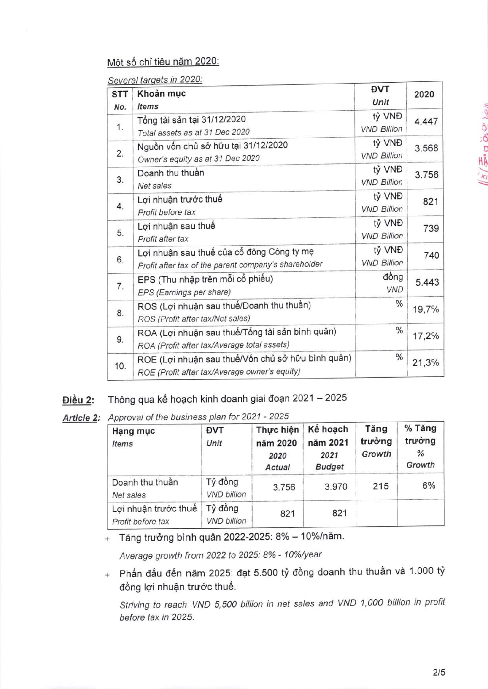### Một số chỉ tiêu năm 2020:

Several targets in 2020:

| <b>STT</b> | Khoản mục                                                                                          | <b>DVT</b>                   | 2020  |
|------------|----------------------------------------------------------------------------------------------------|------------------------------|-------|
| No.        | <b>Items</b>                                                                                       | Unit                         |       |
| 1.         | Tổng tài sản tại 31/12/2020<br>Total assets as at 31 Dec 2020                                      | tỷ VNĐ<br><b>VND Billion</b> | 4.447 |
| 2.         | Nguồn vốn chủ sở hữu tại 31/12/2020<br>Owner's equity as at 31 Dec 2020                            | tỷ VNĐ<br><b>VND Billion</b> | 3.568 |
| 3.         | Doanh thu thuần<br>Net sales                                                                       | tỷ VNĐ<br><b>VND Billion</b> | 3.756 |
| 4.         | Lợi nhuận trước thuế<br>Profit before tax                                                          | tỷ VNĐ<br><b>VND Billion</b> | 821   |
| 5.         | Lợi nhuận sau thuế<br>Profit after tax                                                             | tỷ VNĐ<br><b>VND Billion</b> | 739   |
| 6.         | Lợi nhuận sau thuế của cổ đông Công ty mẹ<br>Profit after tax of the parent company's shareholder  | tỷ VNĐ<br><b>VND Billion</b> | 740   |
| 7.         | EPS (Thu nhập trên mỗi cổ phiếu)<br>EPS (Earnings per share)                                       | đồng<br><b>VND</b>           | 5.443 |
| 8.         | ROS (Lợi nhuận sau thuế/Doanh thu thuần)<br>ROS (Profit after tax/Net sales)                       | $\frac{0}{6}$                | 19,7% |
| 9.         | ROA (Lợi nhuận sau thuế/Tổng tài sản bình quân)<br>ROA (Profit after tax/Average total assets)     | $\frac{0}{6}$                | 17,2% |
| 10.        | ROE (Lợi nhuận sau thuế/Vốn chủ sở hữu bình quân)<br>ROE (Profit after tax/Average owner's equity) | $\frac{0}{0}$                | 21,3% |

### Điều 2: Thông qua kế hoạch kinh doanh giai đoạn 2021 - 2025

Article 2: Approval of the business plan for 2021 - 2025

| Hạng mục<br><b>Items</b>                  | <b>DVT</b><br>Unit            | Thực hiện<br>năm 2020<br>2020<br>Actual | Kế hoạch<br>năm 2021<br>2021<br><b>Budget</b> | Tăng<br>trưởng<br>Growth | % Tăng<br>trưởng<br>$\frac{9}{6}$<br>Growth |
|-------------------------------------------|-------------------------------|-----------------------------------------|-----------------------------------------------|--------------------------|---------------------------------------------|
| Doanh thu thuần<br>Net sales              | Tỷ đồng<br><b>VND billion</b> | 3.756                                   | 3.970                                         | 215                      | 6%                                          |
| Lợi nhuận trước thuế<br>Profit before tax | Tỷ đồng<br><b>VND billion</b> | 821                                     | 821                                           |                          |                                             |

 $+$  Tăng trưởng bình quân 2022-2025: 8% – 10%/năm.

Average growth from 2022 to 2025: 8% - 10%/year

 $_+$  Phấn đấu đến năm 2025: đạt 5.500 tỷ đồng doanh thu thuần và 1.000 tỷ đồng lợi nhuận trước thuế.

Striving to reach VND 5,500 billion in net sales and VND 1,000 billion in profit before tax in 2025.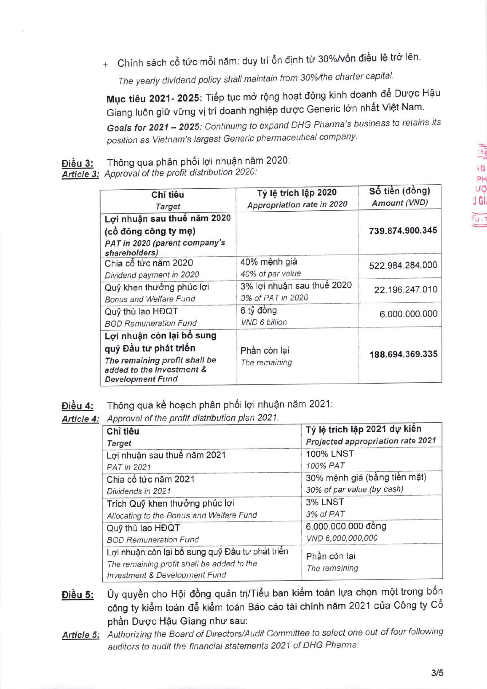+ Chính sách cổ tức mỗi năm: duy trì ổn định từ 30%/vốn điều lệ trở lên.

The yearly dividend policy shall maintain from 30%/the charter capital.

Mục tiêu 2021- 2025: Tiếp tục mở rộng hoạt động kinh doanh để Dược Hậu Giang luôn giữ vững vị trí doanh nghiệp dược Generic lớn nhất Việt Nam.

Goals for 2021 - 2025: Continuing to expand DHG Pharma's business to retains its position as Vietnam's largest Generic pharmaceutical company.

Thông qua phân phối lợi nhuận năm 2020: Điều 3:

Article 3: Approval of the profit distribution 2020:

| Chỉ tiêu<br><b>Target</b>                                                                                                                   | Tỷ lệ trích lập 2020<br>Appropriation rate in 2020 | Số tiền (đồng)<br>Amount (VND) |
|---------------------------------------------------------------------------------------------------------------------------------------------|----------------------------------------------------|--------------------------------|
| Lợi nhuận sau thuế năm 2020<br>(cổ đông công ty mẹ)<br>PAT in 2020 (parent company's<br>shareholders)                                       |                                                    | 739.874.900.345                |
| Chia cổ tức năm 2020<br>Dividend payment in 2020                                                                                            | 40% mệnh giá<br>40% of par value                   | 522.984.284.000                |
| Quỹ khen thưởng phúc lợi<br>Bonus and Welfare Fund                                                                                          | 3% lợi nhuận sau thuế 2020<br>3% of PAT in 2020    | 22.196.247.010                 |
| Quỹ thù lao HĐQT<br><b>BOD Remuneration Fund</b>                                                                                            | 6 tỷ đồng<br><b>VND 6 billion</b>                  | 6.000.000.000                  |
| Lợi nhuận còn lại bổ sung<br>quỹ Đầu tư phát triển<br>The remaining profit shall be<br>added to the Investment &<br><b>Development Fund</b> | Phần còn lại<br>The remaining                      | 188.694.369.335                |

Điều 4: Thông qua kế hoạch phân phối lợi nhuận năm 2021:

Article 4: Approval of the profit distribution plan 2021:

| Chỉ tiêu                                                                                                                       | Tỷ lệ trích lập 2021 dự kiến      |
|--------------------------------------------------------------------------------------------------------------------------------|-----------------------------------|
| Target                                                                                                                         | Projected appropriation rate 2021 |
| Lợi nhuận sau thuế năm 2021                                                                                                    | <b>100% LNST</b>                  |
| <b>PAT in 2021</b>                                                                                                             | 100% PAT                          |
| Chia cổ tức năm 2021                                                                                                           | 30% mệnh giá (bằng tiền mặt)      |
| Dividends in 2021                                                                                                              | 30% of par value (by cash)        |
| Trích Quỹ khen thưởng phúc lợi                                                                                                 | 3% LNST                           |
| Allocating to the Bonus and Welfare Fund                                                                                       | 3% of PAT                         |
| Quỹ thù lao HĐQT                                                                                                               | 6.000.000.000 đồng                |
| <b>BOD Remuneration Fund</b>                                                                                                   | VND 6,000,000,000                 |
| Lợi nhuận còn lại bổ sung quỹ Đầu tư phát triển<br>The remaining profit shall be added to the<br>Investment & Development Fund | Phần còn lại<br>The remaining     |

- Ủy quyền cho Hội đồng quản trị/Tiểu ban kiểm toán lựa chọn một trong bốn Điều 5: công ty kiểm toán để kiểm toán Báo cáo tài chính năm 2021 của Công ty Cổ phần Dược Hậu Giang như sau:
- Article 5: Authorizing the Board of Directors/Audit Committee to select one out of four following auditors to audit the financial statements 2021 of DHG Pharma: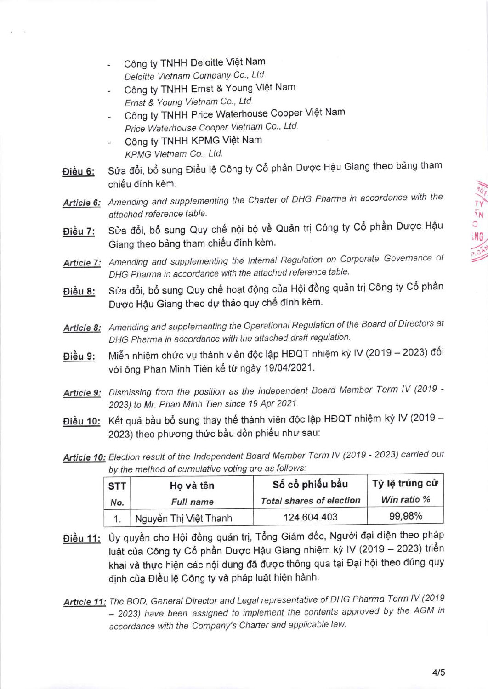- Công ty TNHH Deloitte Việt Nam Deloitte Vietnam Company Co., Ltd.
- Công ty TNHH Ernst & Young Việt Nam Ernst & Young Vietnam Co., Ltd.
- Công ty TNHH Price Waterhouse Cooper Việt Nam Price Waterhouse Cooper Vietnam Co., Ltd.
- Công ty TNHH KPMG Việt Nam KPMG Vietnam Co., Ltd.
- Điều 6: Sửa đổi, bổ sung Điều lệ Công ty Cổ phần Dược Hậu Giang theo bảng tham chiếu đính kèm.
- Article 6: Amending and supplementing the Charter of DHG Pharma in accordance with the attached reference table.
- Điều 7: Sửa đổi, bổ sung Quy chế nội bộ về Quản trị Công ty Cổ phần Dược Hậu Giang theo bảng tham chiếu đính kèm.
- Article 7: Amending and supplementing the Internal Regulation on Corporate Governance of DHG Pharma in accordance with the attached reference table.
- Điều 8: Sửa đổi, bổ sung Quy chế hoạt động của Hội đồng quản trị Công ty Cổ phần Dược Hậu Giang theo dự thảo quy chế đính kèm.
- Article 8: Amending and supplementing the Operational Regulation of the Board of Directors at DHG Pharma in accordance with the aftached draft regulation.
- Điều 9: Miễn nhiệm chức vụ thành viên độc lập HĐQT nhiệm kỳ IV (2019 2023) đối với ông Phan Minh Tiên kể từ ngày 19/04/2021.
- Article 9: Dismissing from the position as the Independent Board Member Term IV (2019 -2023) to Mr. Phan Minh Tien since 19 Apr 2021.
- Điều 10: Kết quả bầu bổ sung thay thế thành viên độc lập HĐQT nhiệm kỳ IV (2019 -2023) theo phương thức bầu dồn phiếu như sau:
- Article 10: Election result of the Independent Board Member Term IV (2019 2023) carried out by the method of cumulative voting are as follows:

| <b>STT</b> | Ho và tên             | Số cổ phiếu bầu                 | Tỷ lệ trúng cử |  |
|------------|-----------------------|---------------------------------|----------------|--|
| No.        | <b>Full name</b>      | <b>Total shares of election</b> | Win ratio %    |  |
|            | Nguyễn Thị Việt Thanh | 124.604.403                     | 99,98%         |  |

- Điều 11: Ủy quyền cho Hội đồng quản trị, Tổng Giám đốc, Người đại diện theo pháp luật của Công ty Cổ phần Dược Hậu Giang nhiệm kỳ IV (2019 - 2023) triển khai và thực hiện các nội dung đã được thông qua tại Đại hội theo đúng quy định của Điều lệ Công ty và pháp luật hiện hành.
- Article 11: The BOD, General Director and Legal representative of DHG Pharma Term IV (2019 - 2023) have been assigned to implement the contents approved by the AGM in accordance with the Company's Charter and applicable law.